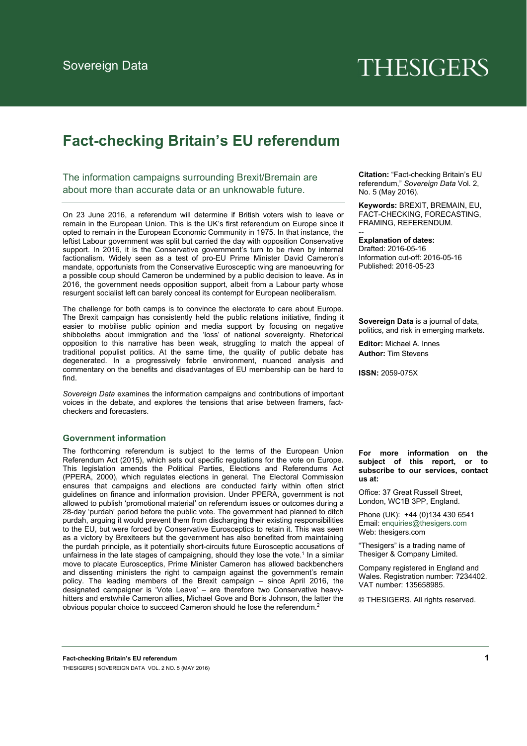# **THESIGERS**

# **Fact-checking Britain's EU referendum**

The information campaigns surrounding Brexit/Bremain are about more than accurate data or an unknowable future.

On 23 June 2016, a referendum will determine if British voters wish to leave or remain in the European Union. This is the UK's first referendum on Europe since it opted to remain in the European Economic Community in 1975. In that instance, the leftist Labour government was split but carried the day with opposition Conservative support. In 2016, it is the Conservative government's turn to be riven by internal factionalism. Widely seen as a test of pro-EU Prime Minister David Cameron's mandate, opportunists from the Conservative Eurosceptic wing are manoeuvring for a possible coup should Cameron be undermined by a public decision to leave. As in 2016, the government needs opposition support, albeit from a Labour party whose resurgent socialist left can barely conceal its contempt for European neoliberalism.

The challenge for both camps is to convince the electorate to care about Europe. The Brexit campaign has consistently held the public relations initiative, finding it easier to mobilise public opinion and media support by focusing on negative shibboleths about immigration and the 'loss' of national sovereignty. Rhetorical opposition to this narrative has been weak, struggling to match the appeal of traditional populist politics. At the same time, the quality of public debate has degenerated. In a progressively febrile environment, nuanced analysis and commentary on the benefits and disadvantages of EU membership can be hard to find.

*Sovereign Data* examines the information campaigns and contributions of important voices in the debate, and explores the tensions that arise between framers, factcheckers and forecasters.

# **Government information**

The forthcoming referendum is subject to the terms of the European Union Referendum Act (2015), which sets out specific regulations for the vote on Europe. This legislation amends the Political Parties, Elections and Referendums Act (PPERA, 2000), which regulates elections in general. The Electoral Commission ensures that campaigns and elections are conducted fairly within often strict guidelines on finance and information provision. Under PPERA, government is not allowed to publish 'promotional material' on referendum issues or outcomes during a 28-day 'purdah' period before the public vote. The government had planned to ditch purdah, arguing it would prevent them from discharging their existing responsibilities to the EU, but were forced by Conservative Eurosceptics to retain it. This was seen as a victory by Brexiteers but the government has also benefited from maintaining the purdah principle, as it potentially short-circuits future Eurosceptic accusations of unfairness in the late stages of campaigning, should they lose the vote.<sup>1</sup> In a similar move to placate Eurosceptics, Prime Minister Cameron has allowed backbenchers and dissenting ministers the right to campaign against the government's remain policy. The leading members of the Brexit campaign – since April 2016, the designated campaigner is 'Vote Leave' – are therefore two Conservative heavyhitters and erstwhile Cameron allies, Michael Gove and Boris Johnson, the latter the obvious popular choice to succeed Cameron should he lose the referendum.2

**Citation:** "Fact-checking Britain's EU referendum," *Sovereign Data* Vol. 2, No. 5 (May 2016).

**Keywords:** BREXIT, BREMAIN, EU, FACT-CHECKING, FORECASTING, FRAMING, REFERENDUM.

**Explanation of dates:** 

--

Drafted: 2016-05-16 Information cut-off: 2016-05-16 Published: 2016-05-23

**Sovereign Data** is a journal of data, politics, and risk in emerging markets.

**Editor:** Michael A. Innes **Author:** Tim Stevens

**ISSN:** 2059-075X

**For more information on the subject of this report, or to subscribe to our services, contact us at:** 

Office: 37 Great Russell Street, London, WC1B 3PP, England.

Phone (UK): +44 (0)134 430 6541 Email: enquiries@thesigers.com Web: thesigers.com

"Thesigers" is a trading name of Thesiger & Company Limited.

Company registered in England and Wales. Registration number: 7234402. VAT number: 135658985.

© THESIGERS. All rights reserved.

**Fact-checking Britain's EU referendum 1** THESIGERS | SOVEREIGN DATA VOL. 2 NO. 5 (MAY 2016)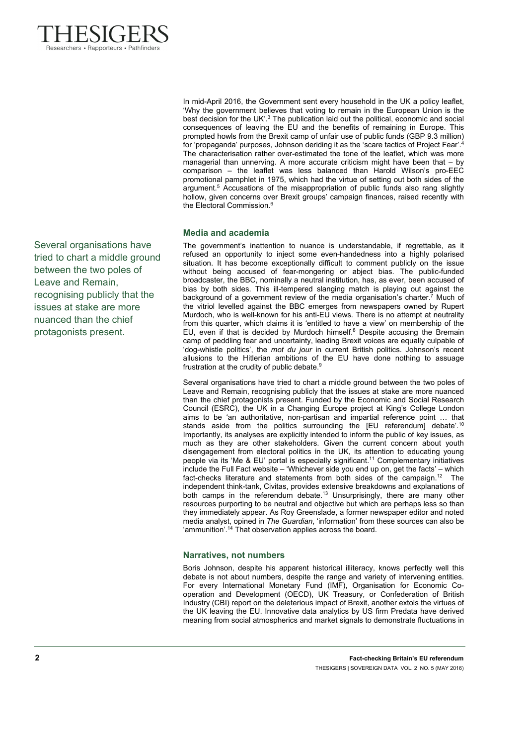

Several organisations have tried to chart a middle ground between the two poles of Leave and Remain, recognising publicly that the issues at stake are more nuanced than the chief protagonists present.

In mid-April 2016, the Government sent every household in the UK a policy leaflet, 'Why the government believes that voting to remain in the European Union is the best decision for the UK'. $3$  The publication laid out the political, economic and social consequences of leaving the EU and the benefits of remaining in Europe. This prompted howls from the Brexit camp of unfair use of public funds (GBP 9.3 million) for 'propaganda' purposes, Johnson deriding it as the 'scare tactics of Project Fear'. The characterisation rather over-estimated the tone of the leaflet, which was more managerial than unnerving. A more accurate criticism might have been that – by comparison – the leaflet was less balanced than Harold Wilson's pro-EEC promotional pamphlet in 1975, which had the virtue of setting out both sides of the argument.<sup>5</sup> Accusations of the misappropriation of public funds also rang slightly hollow, given concerns over Brexit groups' campaign finances, raised recently with the Electoral Commission.6

# **Media and academia**

The government's inattention to nuance is understandable, if regrettable, as it refused an opportunity to inject some even-handedness into a highly polarised situation. It has become exceptionally difficult to comment publicly on the issue without being accused of fear-mongering or abject bias. The public-funded broadcaster, the BBC, nominally a neutral institution, has, as ever, been accused of bias by both sides. This ill-tempered slanging match is playing out against the background of a government review of the media organisation's charter.7 Much of the vitriol levelled against the BBC emerges from newspapers owned by Rupert Murdoch, who is well-known for his anti-EU views. There is no attempt at neutrality from this quarter, which claims it is 'entitled to have a view' on membership of the EU, even if that is decided by Murdoch himself. $8$  Despite accusing the Bremain camp of peddling fear and uncertainty, leading Brexit voices are equally culpable of 'dog-whistle politics', the *mot du jour* in current British politics. Johnson's recent allusions to the Hitlerian ambitions of the EU have done nothing to assuage frustration at the crudity of public debate.9

Several organisations have tried to chart a middle ground between the two poles of Leave and Remain, recognising publicly that the issues at stake are more nuanced than the chief protagonists present. Funded by the Economic and Social Research Council (ESRC), the UK in a Changing Europe project at King's College London aims to be 'an authoritative, non-partisan and impartial reference point … that stands aside from the politics surrounding the [EU referendum] debate'.<sup>10</sup> Importantly, its analyses are explicitly intended to inform the public of key issues, as much as they are other stakeholders. Given the current concern about youth disengagement from electoral politics in the UK, its attention to educating young people via its 'Me & EU' portal is especially significant.<sup>11</sup> Complementary initiatives include the Full Fact website – 'Whichever side you end up on, get the facts' – which fact-checks literature and statements from both sides of the campaign.12 The independent think-tank, Civitas, provides extensive breakdowns and explanations of both camps in the referendum debate.<sup>13</sup> Unsurprisingly, there are many other resources purporting to be neutral and objective but which are perhaps less so than they immediately appear. As Roy Greenslade, a former newspaper editor and noted media analyst, opined in *The Guardian*, 'information' from these sources can also be 'ammunition'.14 That observation applies across the board.

# **Narratives, not numbers**

Boris Johnson, despite his apparent historical illiteracy, knows perfectly well this debate is not about numbers, despite the range and variety of intervening entities. For every International Monetary Fund (IMF), Organisation for Economic Cooperation and Development (OECD), UK Treasury, or Confederation of British Industry (CBI) report on the deleterious impact of Brexit, another extols the virtues of the UK leaving the EU. Innovative data analytics by US firm Predata have derived meaning from social atmospherics and market signals to demonstrate fluctuations in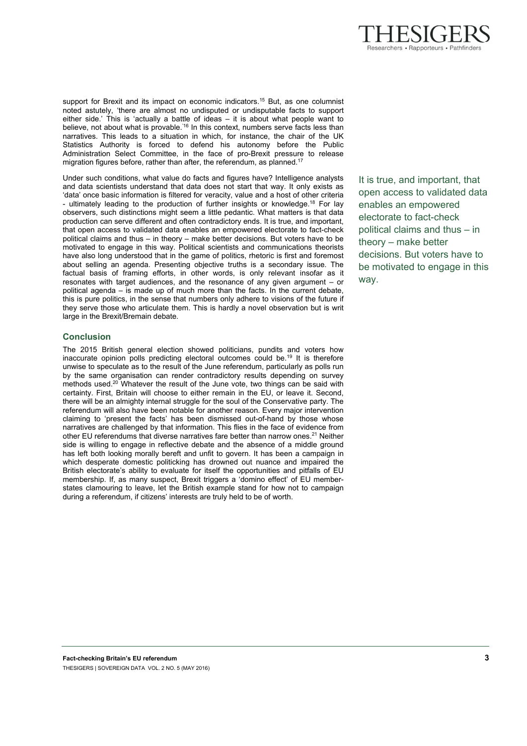

support for Brexit and its impact on economic indicators.<sup>15</sup> But, as one columnist noted astutely, 'there are almost no undisputed or undisputable facts to support either side.' This is 'actually a battle of ideas – it is about what people want to believe, not about what is provable.<sup>'16</sup> In this context, numbers serve facts less than narratives. This leads to a situation in which, for instance, the chair of the UK Statistics Authority is forced to defend his autonomy before the Public Administration Select Committee, in the face of pro-Brexit pressure to release migration figures before, rather than after, the referendum, as planned.<sup>17</sup>

Under such conditions, what value do facts and figures have? Intelligence analysts and data scientists understand that data does not start that way. It only exists as 'data' once basic information is filtered for veracity, value and a host of other criteria - ultimately leading to the production of further insights or knowledge.<sup>18</sup> For lay observers, such distinctions might seem a little pedantic. What matters is that data production can serve different and often contradictory ends. It is true, and important, that open access to validated data enables an empowered electorate to fact-check political claims and thus – in theory – make better decisions. But voters have to be motivated to engage in this way. Political scientists and communications theorists have also long understood that in the game of politics, rhetoric is first and foremost about selling an agenda. Presenting objective truths is a secondary issue. The factual basis of framing efforts, in other words, is only relevant insofar as it resonates with target audiences, and the resonance of any given argument – or political agenda – is made up of much more than the facts. In the current debate, this is pure politics, in the sense that numbers only adhere to visions of the future if they serve those who articulate them. This is hardly a novel observation but is writ large in the Brexit/Bremain debate.

# **Conclusion**

The 2015 British general election showed politicians, pundits and voters how inaccurate opinion polls predicting electoral outcomes could be. 19 It is therefore unwise to speculate as to the result of the June referendum, particularly as polls run by the same organisation can render contradictory results depending on survey methods used.<sup>20</sup> Whatever the result of the June vote, two things can be said with certainty. First, Britain will choose to either remain in the EU, or leave it. Second, there will be an almighty internal struggle for the soul of the Conservative party. The referendum will also have been notable for another reason. Every major intervention claiming to 'present the facts' has been dismissed out-of-hand by those whose narratives are challenged by that information. This flies in the face of evidence from other EU referendums that diverse narratives fare better than narrow ones.<sup>21</sup> Neither side is willing to engage in reflective debate and the absence of a middle ground has left both looking morally bereft and unfit to govern. It has been a campaign in which desperate domestic politicking has drowned out nuance and impaired the British electorate's ability to evaluate for itself the opportunities and pitfalls of EU membership. If, as many suspect, Brexit triggers a 'domino effect' of EU memberstates clamouring to leave, let the British example stand for how not to campaign during a referendum, if citizens' interests are truly held to be of worth.

It is true, and important, that open access to validated data enables an empowered electorate to fact-check political claims and thus – in theory – make better decisions. But voters have to be motivated to engage in this way.